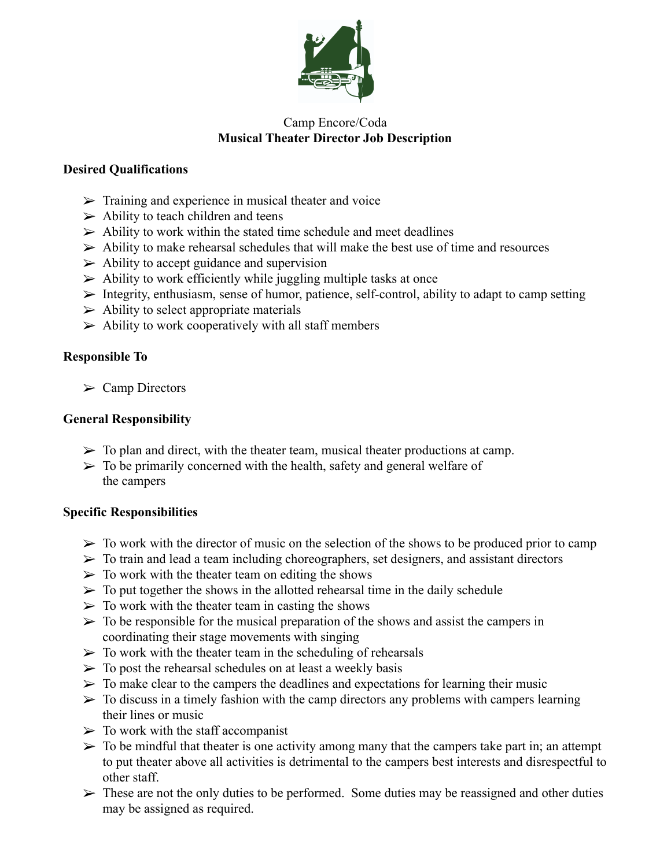

# Camp Encore/Coda **Musical Theater Director Job Description**

### **Desired Qualifications**

- $\triangleright$  Training and experience in musical theater and voice
- $\triangleright$  Ability to teach children and teens
- $\triangleright$  Ability to work within the stated time schedule and meet deadlines
- $\triangleright$  Ability to make rehearsal schedules that will make the best use of time and resources
- $\triangleright$  Ability to accept guidance and supervision
- $\triangleright$  Ability to work efficiently while juggling multiple tasks at once
- ➢ Integrity, enthusiasm, sense of humor, patience, self-control, ability to adapt to camp setting
- $\triangleright$  Ability to select appropriate materials
- $\triangleright$  Ability to work cooperatively with all staff members

## **Responsible To**

 $\triangleright$  Camp Directors

## **General Responsibility**

- $\triangleright$  To plan and direct, with the theater team, musical theater productions at camp.
- $\triangleright$  To be primarily concerned with the health, safety and general welfare of the campers

#### **Specific Responsibilities**

- $\triangleright$  To work with the director of music on the selection of the shows to be produced prior to camp
- $\triangleright$  To train and lead a team including choreographers, set designers, and assistant directors
- $\triangleright$  To work with the theater team on editing the shows
- $\triangleright$  To put together the shows in the allotted rehearsal time in the daily schedule
- $\triangleright$  To work with the theater team in casting the shows
- $\triangleright$  To be responsible for the musical preparation of the shows and assist the campers in coordinating their stage movements with singing
- $\triangleright$  To work with the theater team in the scheduling of rehearsals
- $\triangleright$  To post the rehearsal schedules on at least a weekly basis
- $\triangleright$  To make clear to the campers the deadlines and expectations for learning their music
- $\triangleright$  To discuss in a timely fashion with the camp directors any problems with campers learning their lines or music
- $\triangleright$  To work with the staff accompanist
- $\triangleright$  To be mindful that theater is one activity among many that the campers take part in; an attempt to put theater above all activities is detrimental to the campers best interests and disrespectful to other staff.
- $\triangleright$  These are not the only duties to be performed. Some duties may be reassigned and other duties may be assigned as required.